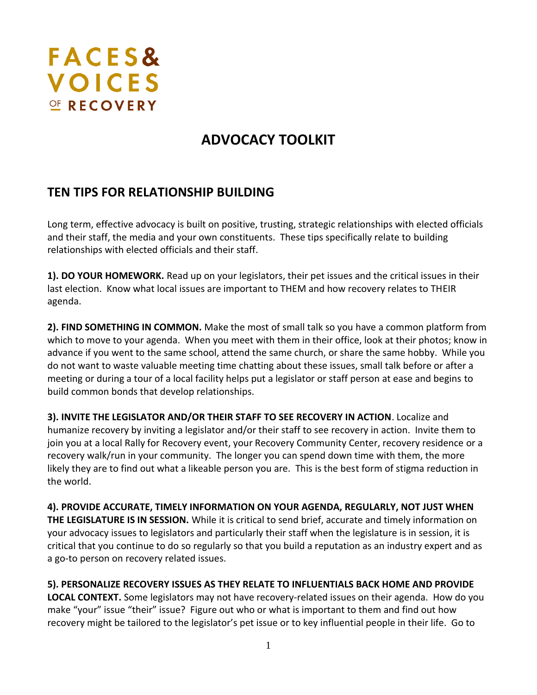# **FACES& VOICES** OF RECOVERY

# **ADVOCACY TOOLKIT**

### **TEN TIPS FOR RELATIONSHIP BUILDING**

Long term, effective advocacy is built on positive, trusting, strategic relationships with elected officials and their staff, the media and your own constituents. These tips specifically relate to building relationships with elected officials and their staff.

**1). DO YOUR HOMEWORK.** Read up on your legislators, their pet issues and the critical issues in their last election. Know what local issues are important to THEM and how recovery relates to THEIR agenda.

**2). FIND SOMETHING IN COMMON.** Make the most of small talk so you have a common platform from which to move to your agenda. When you meet with them in their office, look at their photos; know in advance if you went to the same school, attend the same church, or share the same hobby. While you do not want to waste valuable meeting time chatting about these issues, small talk before or after a meeting or during a tour of a local facility helps put a legislator or staff person at ease and begins to build common bonds that develop relationships.

**3). INVITE THE LEGISLATOR AND/OR THEIR STAFF TO SEE RECOVERY IN ACTION**. Localize and humanize recovery by inviting a legislator and/or their staff to see recovery in action. Invite them to join you at a local Rally for Recovery event, your Recovery Community Center, recovery residence or a recovery walk/run in your community. The longer you can spend down time with them, the more likely they are to find out what a likeable person you are. This is the best form of stigma reduction in the world.

**4). PROVIDE ACCURATE, TIMELY INFORMATION ON YOUR AGENDA, REGULARLY, NOT JUST WHEN THE LEGISLATURE IS IN SESSION.** While it is critical to send brief, accurate and timely information on your advocacy issues to legislators and particularly their staff when the legislature is in session, it is critical that you continue to do so regularly so that you build a reputation as an industry expert and as a go-to person on recovery related issues.

**5). PERSONALIZE RECOVERY ISSUES AS THEY RELATE TO INFLUENTIALS BACK HOME AND PROVIDE** 

**LOCAL CONTEXT.** Some legislators may not have recovery-related issues on their agenda. How do you make "your" issue "their" issue? Figure out who or what is important to them and find out how recovery might be tailored to the legislator's pet issue or to key influential people in their life. Go to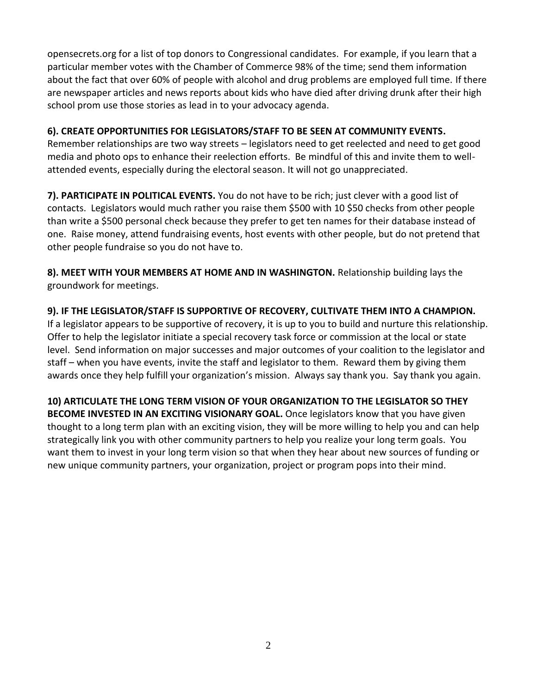opensecrets.org for a list of top donors to Congressional candidates. For example, if you learn that a particular member votes with the Chamber of Commerce 98% of the time; send them information about the fact that over 60% of people with alcohol and drug problems are employed full time. If there are newspaper articles and news reports about kids who have died after driving drunk after their high school prom use those stories as lead in to your advocacy agenda.

#### **6). CREATE OPPORTUNITIES FOR LEGISLATORS/STAFF TO BE SEEN AT COMMUNITY EVENTS.**

Remember relationships are two way streets – legislators need to get reelected and need to get good media and photo ops to enhance their reelection efforts. Be mindful of this and invite them to wellattended events, especially during the electoral season. It will not go unappreciated.

**7). PARTICIPATE IN POLITICAL EVENTS.** You do not have to be rich; just clever with a good list of contacts. Legislators would much rather you raise them \$500 with 10 \$50 checks from other people than write a \$500 personal check because they prefer to get ten names for their database instead of one. Raise money, attend fundraising events, host events with other people, but do not pretend that other people fundraise so you do not have to.

**8). MEET WITH YOUR MEMBERS AT HOME AND IN WASHINGTON.** Relationship building lays the groundwork for meetings.

#### **9). IF THE LEGISLATOR/STAFF IS SUPPORTIVE OF RECOVERY, CULTIVATE THEM INTO A CHAMPION.**

If a legislator appears to be supportive of recovery, it is up to you to build and nurture this relationship. Offer to help the legislator initiate a special recovery task force or commission at the local or state level. Send information on major successes and major outcomes of your coalition to the legislator and staff – when you have events, invite the staff and legislator to them. Reward them by giving them awards once they help fulfill your organization's mission. Always say thank you. Say thank you again.

**10) ARTICULATE THE LONG TERM VISION OF YOUR ORGANIZATION TO THE LEGISLATOR SO THEY BECOME INVESTED IN AN EXCITING VISIONARY GOAL.** Once legislators know that you have given thought to a long term plan with an exciting vision, they will be more willing to help you and can help strategically link you with other community partners to help you realize your long term goals. You want them to invest in your long term vision so that when they hear about new sources of funding or new unique community partners, your organization, project or program pops into their mind.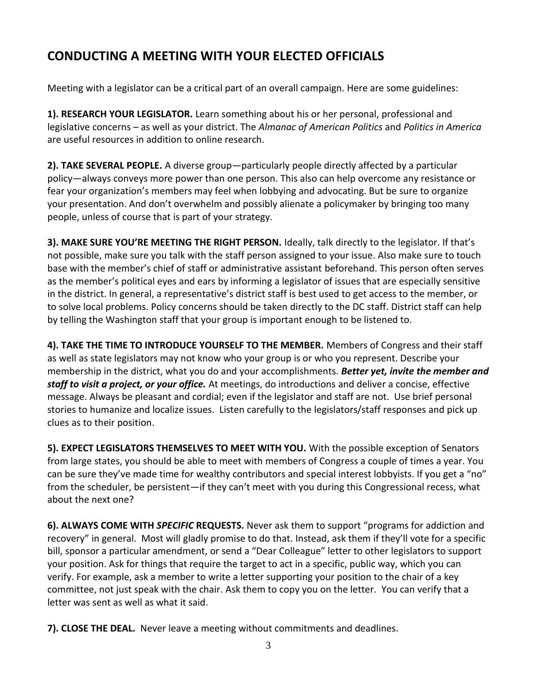## **CONDUCTING A MEETING WITH YOUR ELECTED OFFICIALS**

Meeting with a legislator can be a critical part of an overall campaign. Here are some guidelines:

**1). RESEARCH YOUR LEGISLATOR.** Learn something about his or her personal, professional and legislative concerns – as well as your district. The *Almanac of American Politics* and *Politics in America*  are useful resources in addition to online research.

**2). TAKE SEVERAL PEOPLE.** A diverse group—particularly people directly affected by a particular policy—always conveys more power than one person. This also can help overcome any resistance or fear your organization's members may feel when lobbying and advocating. But be sure to organize your presentation. And don't overwhelm and possibly alienate a policymaker by bringing too many people, unless of course that is part of your strategy.

**3). MAKE SURE YOU'RE MEETING THE RIGHT PERSON.** Ideally, talk directly to the legislator. If that's not possible, make sure you talk with the staff person assigned to your issue. Also make sure to touch base with the member's chief of staff or administrative assistant beforehand. This person often serves as the member's political eyes and ears by informing a legislator of issues that are especially sensitive in the district. In general, a representative's district staff is best used to get access to the member, or to solve local problems. Policy concerns should be taken directly to the DC staff. District staff can help by telling the Washington staff that your group is important enough to be listened to.

**4). TAKE THE TIME TO INTRODUCE YOURSELF TO THE MEMBER.** Members of Congress and their staff as well as state legislators may not know who your group is or who you represent. Describe your membership in the district, what you do and your accomplishments. *Better yet, invite the member and staff to visit a project, or your office.* At meetings, do introductions and deliver a concise, effective message. Always be pleasant and cordial; even if the legislator and staff are not. Use brief personal stories to humanize and localize issues. Listen carefully to the legislators/staff responses and pick up clues as to their position.

**5). EXPECT LEGISLATORS THEMSELVES TO MEET WITH YOU.** With the possible exception of Senators from large states, you should be able to meet with members of Congress a couple of times a year. You can be sure they've made time for wealthy contributors and special interest lobbyists. If you get a "no" from the scheduler, be persistent—if they can't meet with you during this Congressional recess, what about the next one?

**6). ALWAYS COME WITH** *SPECIFIC* **REQUESTS.** Never ask them to support "programs for addiction and recovery" in general. Most will gladly promise to do that. Instead, ask them if they'll vote for a specific bill, sponsor a particular amendment, or send a "Dear Colleague" letter to other legislators to support your position. Ask for things that require the target to act in a specific, public way, which you can verify. For example, ask a member to write a letter supporting your position to the chair of a key committee, not just speak with the chair. Ask them to copy you on the letter. You can verify that a letter was sent as well as what it said.

**7). CLOSE THE DEAL.** Never leave a meeting without commitments and deadlines.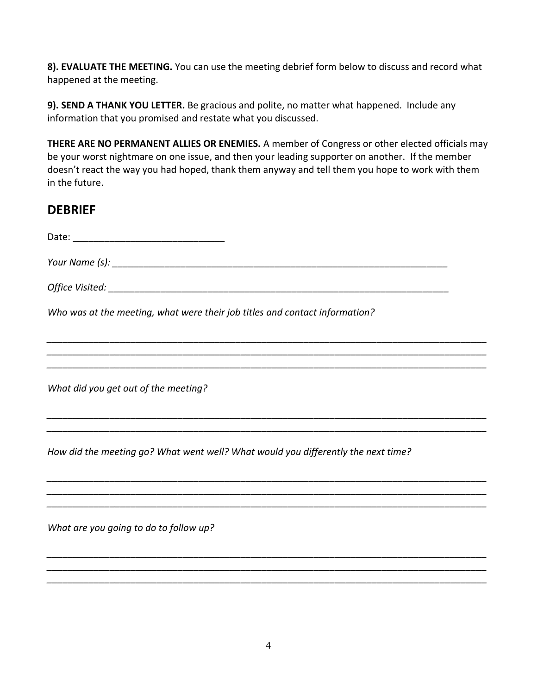**8). EVALUATE THE MEETING.** You can use the meeting debrief form below to discuss and record what happened at the meeting.

**9). SEND A THANK YOU LETTER.** Be gracious and polite, no matter what happened. Include any information that you promised and restate what you discussed.

**THERE ARE NO PERMANENT ALLIES OR ENEMIES.** A member of Congress or other elected officials may be your worst nightmare on one issue, and then your leading supporter on another. If the member doesn't react the way you had hoped, thank them anyway and tell them you hope to work with them in the future.

### **DEBRIEF**

| Who was at the meeting, what were their job titles and contact information?       |
|-----------------------------------------------------------------------------------|
|                                                                                   |
| What did you get out of the meeting?                                              |
| How did the meeting go? What went well? What would you differently the next time? |
| What are you going to do to follow up?                                            |
|                                                                                   |

*\_\_\_\_\_\_\_\_\_\_\_\_\_\_\_\_\_\_\_\_\_\_\_\_\_\_\_\_\_\_\_\_\_\_\_\_\_\_\_\_\_\_\_\_\_\_\_\_\_\_\_\_\_\_\_\_\_\_\_\_\_\_\_\_\_\_\_\_\_\_\_\_\_\_\_\_\_\_\_\_\_\_\_\_*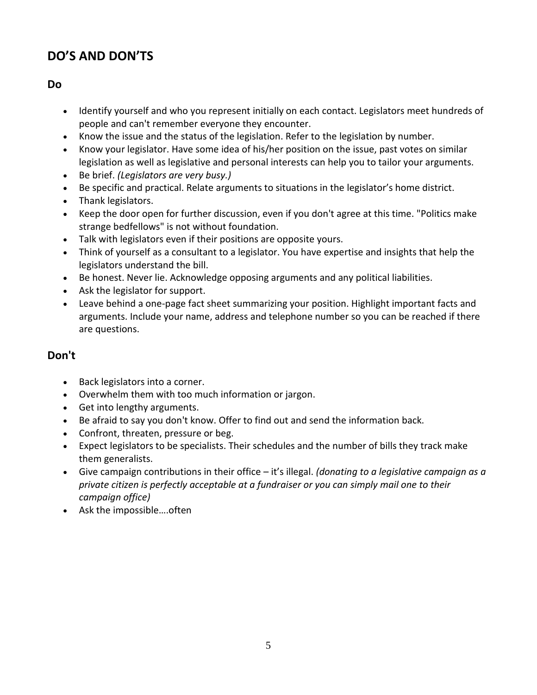# **DO'S AND DON'TS**

#### **Do**

- Identify yourself and who you represent initially on each contact. Legislators meet hundreds of people and can't remember everyone they encounter.
- Know the issue and the status of the legislation. Refer to the legislation by number.
- Know your legislator. Have some idea of his/her position on the issue, past votes on similar legislation as well as legislative and personal interests can help you to tailor your arguments.
- Be brief. *(Legislators are very busy.)*
- Be specific and practical. Relate arguments to situations in the legislator's home district.
- Thank legislators.
- Keep the door open for further discussion, even if you don't agree at this time. "Politics make strange bedfellows" is not without foundation.
- Talk with legislators even if their positions are opposite yours.
- Think of yourself as a consultant to a legislator. You have expertise and insights that help the legislators understand the bill.
- Be honest. Never lie. Acknowledge opposing arguments and any political liabilities.
- Ask the legislator for support.
- Leave behind a one-page fact sheet summarizing your position. Highlight important facts and arguments. Include your name, address and telephone number so you can be reached if there are questions.

### **Don't**

- Back legislators into a corner.
- Overwhelm them with too much information or jargon.
- Get into lengthy arguments.
- Be afraid to say you don't know. Offer to find out and send the information back.
- Confront, threaten, pressure or beg.
- Expect legislators to be specialists. Their schedules and the number of bills they track make them generalists.
- Give campaign contributions in their office it's illegal. *(donating to a legislative campaign as a private citizen is perfectly acceptable at a fundraiser or you can simply mail one to their campaign office)*
- Ask the impossible….often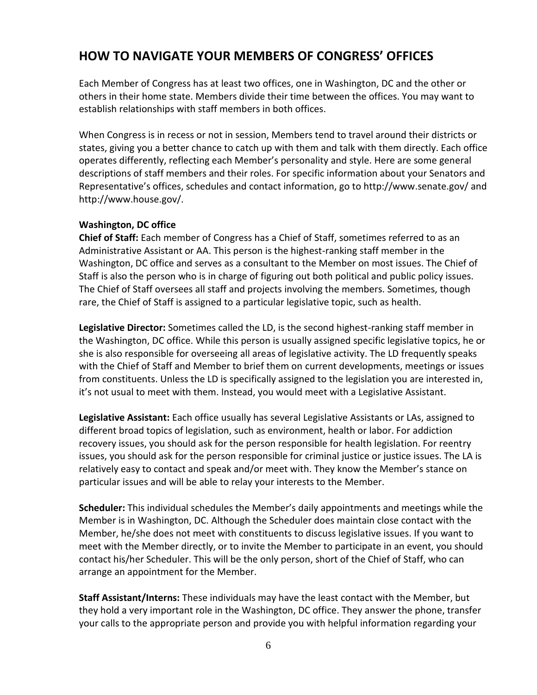### **HOW TO NAVIGATE YOUR MEMBERS OF CONGRESS' OFFICES**

Each Member of Congress has at least two offices, one in Washington, DC and the other or others in their home state. Members divide their time between the offices. You may want to establish relationships with staff members in both offices.

When Congress is in recess or not in session, Members tend to travel around their districts or states, giving you a better chance to catch up with them and talk with them directly. Each office operates differently, reflecting each Member's personality and style. Here are some general descriptions of staff members and their roles. For specific information about your Senators and Representative's offices, schedules and contact information, go to http://www.senate.gov/ and http://www.house.gov/.

#### **Washington, DC office**

**Chief of Staff:** Each member of Congress has a Chief of Staff, sometimes referred to as an Administrative Assistant or AA. This person is the highest-ranking staff member in the Washington, DC office and serves as a consultant to the Member on most issues. The Chief of Staff is also the person who is in charge of figuring out both political and public policy issues. The Chief of Staff oversees all staff and projects involving the members. Sometimes, though rare, the Chief of Staff is assigned to a particular legislative topic, such as health.

**Legislative Director:** Sometimes called the LD, is the second highest-ranking staff member in the Washington, DC office. While this person is usually assigned specific legislative topics, he or she is also responsible for overseeing all areas of legislative activity. The LD frequently speaks with the Chief of Staff and Member to brief them on current developments, meetings or issues from constituents. Unless the LD is specifically assigned to the legislation you are interested in, it's not usual to meet with them. Instead, you would meet with a Legislative Assistant.

**Legislative Assistant:** Each office usually has several Legislative Assistants or LAs, assigned to different broad topics of legislation, such as environment, health or labor. For addiction recovery issues, you should ask for the person responsible for health legislation. For reentry issues, you should ask for the person responsible for criminal justice or justice issues. The LA is relatively easy to contact and speak and/or meet with. They know the Member's stance on particular issues and will be able to relay your interests to the Member.

**Scheduler:** This individual schedules the Member's daily appointments and meetings while the Member is in Washington, DC. Although the Scheduler does maintain close contact with the Member, he/she does not meet with constituents to discuss legislative issues. If you want to meet with the Member directly, or to invite the Member to participate in an event, you should contact his/her Scheduler. This will be the only person, short of the Chief of Staff, who can arrange an appointment for the Member.

**Staff Assistant/Interns:** These individuals may have the least contact with the Member, but they hold a very important role in the Washington, DC office. They answer the phone, transfer your calls to the appropriate person and provide you with helpful information regarding your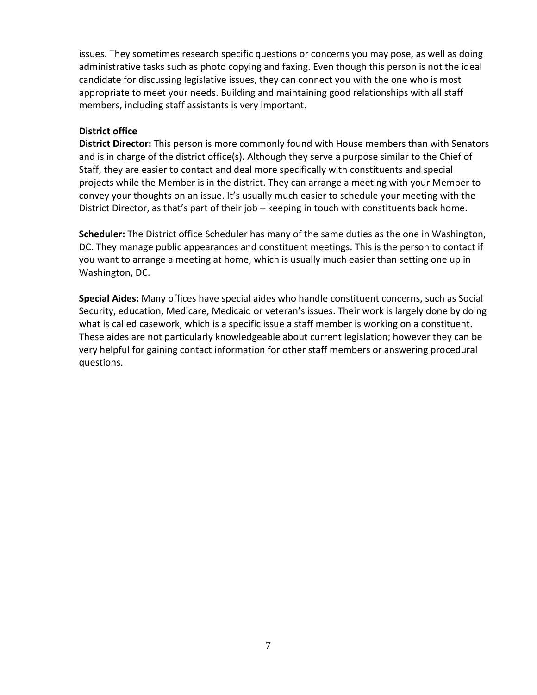issues. They sometimes research specific questions or concerns you may pose, as well as doing administrative tasks such as photo copying and faxing. Even though this person is not the ideal candidate for discussing legislative issues, they can connect you with the one who is most appropriate to meet your needs. Building and maintaining good relationships with all staff members, including staff assistants is very important.

#### **District office**

**District Director:** This person is more commonly found with House members than with Senators and is in charge of the district office(s). Although they serve a purpose similar to the Chief of Staff, they are easier to contact and deal more specifically with constituents and special projects while the Member is in the district. They can arrange a meeting with your Member to convey your thoughts on an issue. It's usually much easier to schedule your meeting with the District Director, as that's part of their job – keeping in touch with constituents back home.

**Scheduler:** The District office Scheduler has many of the same duties as the one in Washington, DC. They manage public appearances and constituent meetings. This is the person to contact if you want to arrange a meeting at home, which is usually much easier than setting one up in Washington, DC.

**Special Aides:** Many offices have special aides who handle constituent concerns, such as Social Security, education, Medicare, Medicaid or veteran's issues. Their work is largely done by doing what is called casework, which is a specific issue a staff member is working on a constituent. These aides are not particularly knowledgeable about current legislation; however they can be very helpful for gaining contact information for other staff members or answering procedural questions.